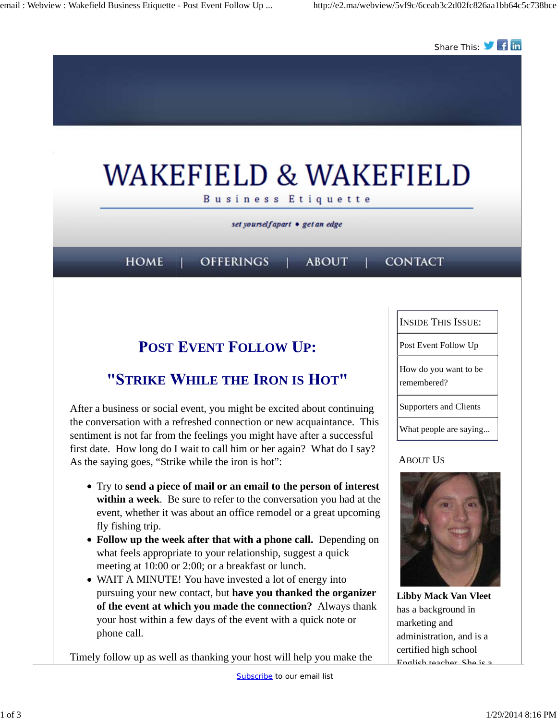

Timely follow up as well as thanking your host will help you make the

English teacher. She is a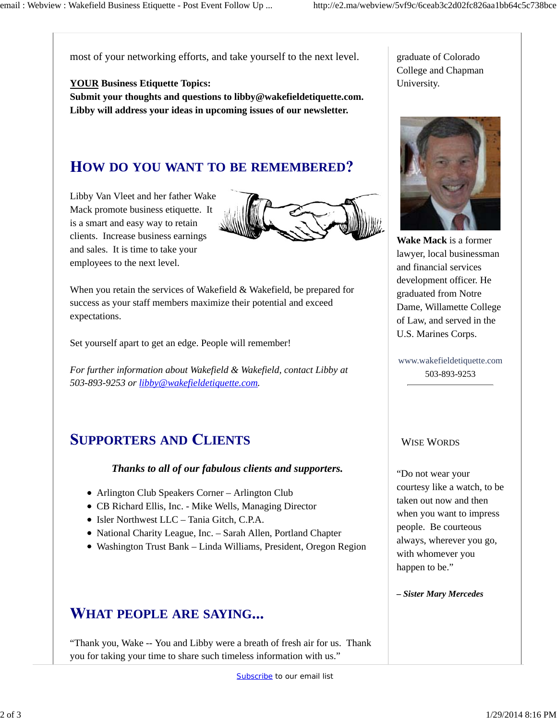most of your networking efforts, and take yourself to the next level.

**YOUR Business Etiquette Topics: Submit your thoughts and questions to libby@wakefieldetiquette.com. Libby will address your ideas in upcoming issues of our newsletter.**

### **OW DO YOU WANT TO BE REMEMBERED**

Libby Van Vleet and her father Wake Mack promote business etiquette. It is a smart and easy way to retain clients. Increase business earnings and sales. It is time to take your employees to the next level.



When you retain the services of Wakefield & Wakefield, be prepared for success as your staff members maximize their potential and exceed expectations.

Set yourself apart to get an edge. People will remember!

*For further information about Wakefield & Wakefield, contact Libby at 503-893-9253 or libby@wakefieldetiquette.com.*

# **UPPORTERS AND LIENTS**

#### *Thanks to all of our fabulous clients and supporters.*

- Arlington Club Speakers Corner Arlington Club
- CB Richard Ellis, Inc. Mike Wells, Managing Director
- Isler Northwest LLC Tania Gitch, C.P.A.
- National Charity League, Inc. Sarah Allen, Portland Chapter
- Washington Trust Bank Linda Williams, President, Oregon Region

## **HAT PEOPLE ARE SAYING**

"Thank you, Wake -- You and Libby were a breath of fresh air for us. Thank you for taking your time to share such timeless information with us."

graduate of Colorado College and Chapman University.



**Wake Mack** is a former lawyer, local businessman and financial services development officer. He graduated from Notre Dame, Willamette College of Law, and served in the U.S. Marines Corps.

www.wakefieldetiquette.com 503-893-9253

### WISE WORDS

"Do not wear your courtesy like a watch, to be taken out now and then when you want to impress people. Be courteous always, wherever you go, with whomever you happen to be."

*– Sister Mary Mercedes*